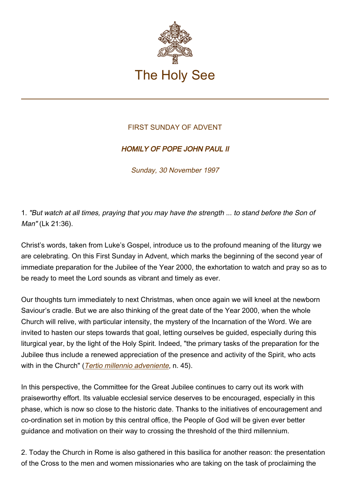

## FIRST SUNDAY OF ADVENT

## HOMILY OF POPE JOHN PAUL II

Sunday, 30 November 1997

1. "But watch at all times, praying that you may have the strength ... to stand before the Son of Man" (Lk 21:36).

Christ's words, taken from Luke's Gospel, introduce us to the profound meaning of the liturgy we are celebrating. On this First Sunday in Advent, which marks the beginning of the second year of immediate preparation for the Jubilee of the Year 2000, the exhortation to watch and pray so as to be ready to meet the Lord sounds as vibrant and timely as ever.

Our thoughts turn immediately to next Christmas, when once again we will kneel at the newborn Saviour's cradle. But we are also thinking of the great date of the Year 2000, when the whole Church will relive, with particular intensity, the mystery of the Incarnation of the Word. We are invited to hasten our steps towards that goal, letting ourselves be guided, especially during this liturgical year, by the light of the Holy Spirit. Indeed, "the primary tasks of the preparation for the Jubilee thus include a renewed appreciation of the presence and activity of the Spirit, who acts with in the Church" ([Tertio millennio adveniente](https://www.vatican.va/content/john-paul-ii/en/apost_letters/documents/hf_jp-ii_apl_10111994_tertio-millennio-adveniente.html), n. 45).

In this perspective, the Committee for the Great Jubilee continues to carry out its work with praiseworthy effort. Its valuable ecclesial service deserves to be encouraged, especially in this phase, which is now so close to the historic date. Thanks to the initiatives of encouragement and co-ordination set in motion by this central office, the People of God will be given ever better guidance and motivation on their way to crossing the threshold of the third millennium.

2. Today the Church in Rome is also gathered in this basilica for another reason: the presentation of the Cross to the men and women missionaries who are taking on the task of proclaiming the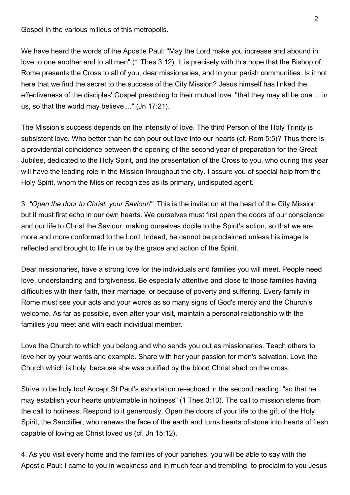Gospel in the various milieus of this metropolis.

We have heard the words of the Apostle Paul: "May the Lord make you increase and abound in love to one another and to all men" (1 Thes 3:12). It is precisely with this hope that the Bishop of Rome presents the Cross to all of you, dear missionaries, and to your parish communities. Is it not here that we find the secret to the success of the City Mission? Jesus himself has linked the effectiveness of the disciples' Gospel preaching to their mutual love: "that they may all be one ... in us, so that the world may believe ..." (Jn 17:21).

The Mission's success depends on the intensity of love. The third Person of the Holy Trinity is subsistent love. Who better than he can pour out love into our hearts (cf. Rom 5:5)? Thus there is a providential coincidence between the opening of the second year of preparation for the Great Jubilee, dedicated to the Holy Spirit, and the presentation of the Cross to you, who during this year will have the leading role in the Mission throughout the city. I assure you of special help from the Holy Spirit, whom the Mission recognizes as its primary, undisputed agent.

3. "Open the door to Christ, your Saviour!". This is the invitation at the heart of the City Mission, but it must first echo in our own hearts. We ourselves must first open the doors of our conscience and our life to Christ the Saviour, making ourselves docile to the Spirit's action, so that we are more and more conformed to the Lord. Indeed, he cannot be proclaimed unless his image is reflected and brought to life in us by the grace and action of the Spirit.

Dear missionaries, have a strong love for the individuals and families you will meet. People need love, understanding and forgiveness. Be especially attentive and close to those families having difficulties with their faith, their marriage, or because of poverty and suffering. Every family in Rome must see your acts and your words as so many signs of God's mercy and the Church's welcome. As far as possible, even after your visit, maintain a personal relationship with the families you meet and with each individual member.

Love the Church to which you belong and who sends you out as missionaries. Teach others to love her by your words and example. Share with her your passion for men's salvation. Love the Church which is holy, because she was purified by the blood Christ shed on the cross.

Strive to be holy too! Accept St Paul's exhortation re-echoed in the second reading, "so that he may establish your hearts unblamable in holiness" (1 Thes 3:13). The call to mission stems from the call to holiness. Respond to it generously. Open the doors of your life to the gift of the Holy Spirit, the Sanctifier, who renews the face of the earth and turns hearts of stone into hearts of flesh capable of loving as Christ loved us (cf. Jn 15:12).

4. As you visit every home and the families of your parishes, you will be able to say with the Apostle Paul: I came to you in weakness and in much fear and trembling, to proclaim to you Jesus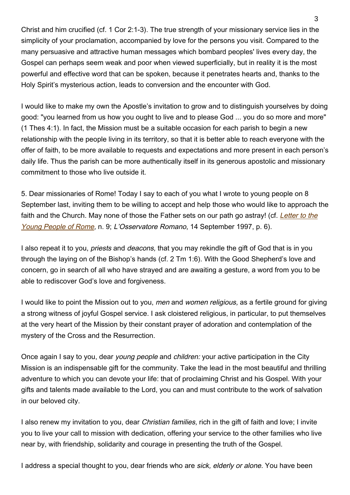Christ and him crucified (cf. 1 Cor 2:1-3). The true strength of your missionary service lies in the simplicity of your proclamation, accompanied by love for the persons you visit. Compared to the many persuasive and attractive human messages which bombard peoples' lives every day, the Gospel can perhaps seem weak and poor when viewed superficially, but in reality it is the most powerful and effective word that can be spoken, because it penetrates hearts and, thanks to the Holy Spirit's mysterious action, leads to conversion and the encounter with God.

I would like to make my own the Apostle's invitation to grow and to distinguish yourselves by doing good: "you learned from us how you ought to live and to please God ... you do so more and more" (1 Thes 4:1). In fact, the Mission must be a suitable occasion for each parish to begin a new relationship with the people living in its territory, so that it is better able to reach everyone with the offer of faith, to be more available to requests and expectations and more present in each person's daily life. Thus the parish can be more authentically itself in its generous apostolic and missionary commitment to those who live outside it.

5. Dear missionaries of Rome! Today I say to each of you what I wrote to young people on 8 September last, inviting them to be willing to accept and help those who would like to approach the faith and the Church. May none of those the Father sets on our path go astray! (cf. [Letter to the](https://www.vatican.va/content/john-paul-ii/en/letters/1997/documents/hf_jp-ii_let_19970908_missione-cittadina.html) [Young People of Rome](https://www.vatican.va/content/john-paul-ii/en/letters/1997/documents/hf_jp-ii_let_19970908_missione-cittadina.html), n. 9; L'Osservatore Romano, 14 September 1997, p. 6).

I also repeat it to you, *priests* and *deacons*, that you may rekindle the gift of God that is in you through the laying on of the Bishop's hands (cf. 2 Tm 1:6). With the Good Shepherd's love and concern, go in search of all who have strayed and are awaiting a gesture, a word from you to be able to rediscover God's love and forgiveness.

I would like to point the Mission out to you, men and women religious, as a fertile ground for giving a strong witness of joyful Gospel service. I ask cloistered religious, in particular, to put themselves at the very heart of the Mission by their constant prayer of adoration and contemplation of the mystery of the Cross and the Resurrection.

Once again I say to you, dear young people and children: your active participation in the City Mission is an indispensable gift for the community. Take the lead in the most beautiful and thrilling adventure to which you can devote your life: that of proclaiming Christ and his Gospel. With your gifts and talents made available to the Lord, you can and must contribute to the work of salvation in our beloved city.

I also renew my invitation to you, dear Christian families, rich in the gift of faith and love; I invite you to live your call to mission with dedication, offering your service to the other families who live near by, with friendship, solidarity and courage in presenting the truth of the Gospel.

I address a special thought to you, dear friends who are sick, elderly or alone. You have been